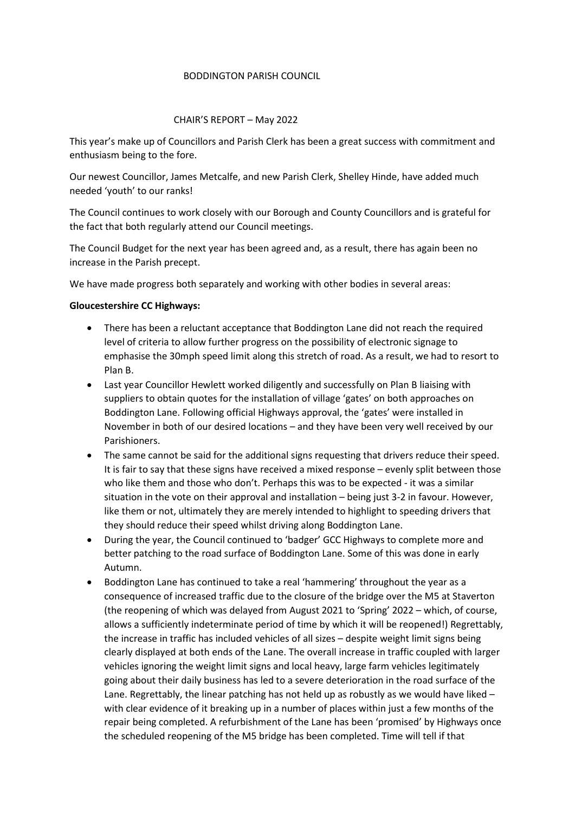#### BODDINGTON PARISH COUNCIL

#### CHAIR'S REPORT – May 2022

This year's make up of Councillors and Parish Clerk has been a great success with commitment and enthusiasm being to the fore.

Our newest Councillor, James Metcalfe, and new Parish Clerk, Shelley Hinde, have added much needed 'youth' to our ranks!

The Council continues to work closely with our Borough and County Councillors and is grateful for the fact that both regularly attend our Council meetings.

The Council Budget for the next year has been agreed and, as a result, there has again been no increase in the Parish precept.

We have made progress both separately and working with other bodies in several areas:

## Gloucestershire CC Highways:

- There has been a reluctant acceptance that Boddington Lane did not reach the required level of criteria to allow further progress on the possibility of electronic signage to emphasise the 30mph speed limit along this stretch of road. As a result, we had to resort to Plan B.
- Last year Councillor Hewlett worked diligently and successfully on Plan B liaising with suppliers to obtain quotes for the installation of village 'gates' on both approaches on Boddington Lane. Following official Highways approval, the 'gates' were installed in November in both of our desired locations – and they have been very well received by our Parishioners.
- The same cannot be said for the additional signs requesting that drivers reduce their speed. It is fair to say that these signs have received a mixed response – evenly split between those who like them and those who don't. Perhaps this was to be expected - it was a similar situation in the vote on their approval and installation – being just 3-2 in favour. However, like them or not, ultimately they are merely intended to highlight to speeding drivers that they should reduce their speed whilst driving along Boddington Lane.
- During the year, the Council continued to 'badger' GCC Highways to complete more and better patching to the road surface of Boddington Lane. Some of this was done in early Autumn.
- Boddington Lane has continued to take a real 'hammering' throughout the year as a consequence of increased traffic due to the closure of the bridge over the M5 at Staverton (the reopening of which was delayed from August 2021 to 'Spring' 2022 – which, of course, allows a sufficiently indeterminate period of time by which it will be reopened!) Regrettably, the increase in traffic has included vehicles of all sizes – despite weight limit signs being clearly displayed at both ends of the Lane. The overall increase in traffic coupled with larger vehicles ignoring the weight limit signs and local heavy, large farm vehicles legitimately going about their daily business has led to a severe deterioration in the road surface of the Lane. Regrettably, the linear patching has not held up as robustly as we would have liked – with clear evidence of it breaking up in a number of places within just a few months of the repair being completed. A refurbishment of the Lane has been 'promised' by Highways once the scheduled reopening of the M5 bridge has been completed. Time will tell if that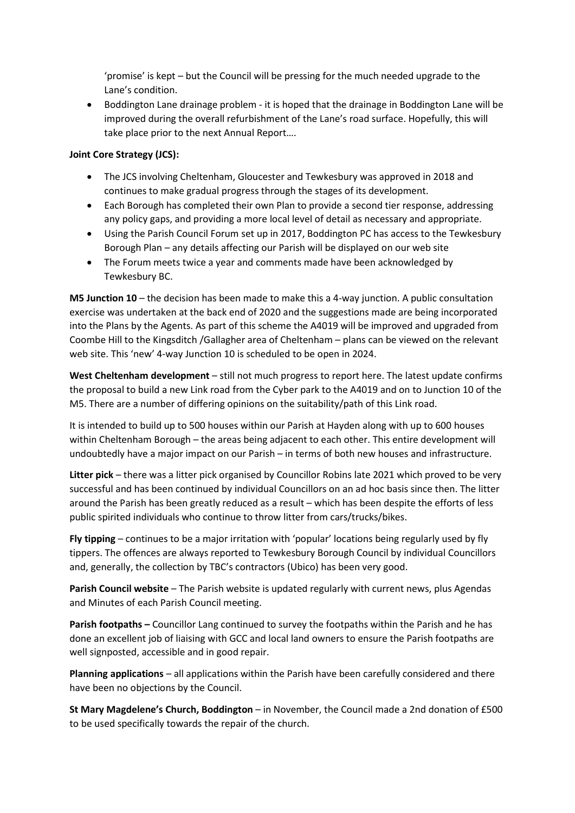'promise' is kept – but the Council will be pressing for the much needed upgrade to the Lane's condition.

• Boddington Lane drainage problem - it is hoped that the drainage in Boddington Lane will be improved during the overall refurbishment of the Lane's road surface. Hopefully, this will take place prior to the next Annual Report….

# Joint Core Strategy (JCS):

- The JCS involving Cheltenham, Gloucester and Tewkesbury was approved in 2018 and continues to make gradual progress through the stages of its development.
- Each Borough has completed their own Plan to provide a second tier response, addressing any policy gaps, and providing a more local level of detail as necessary and appropriate.
- Using the Parish Council Forum set up in 2017, Boddington PC has access to the Tewkesbury Borough Plan – any details affecting our Parish will be displayed on our web site
- The Forum meets twice a year and comments made have been acknowledged by Tewkesbury BC.

M5 Junction 10 – the decision has been made to make this a 4-way junction. A public consultation exercise was undertaken at the back end of 2020 and the suggestions made are being incorporated into the Plans by the Agents. As part of this scheme the A4019 will be improved and upgraded from Coombe Hill to the Kingsditch /Gallagher area of Cheltenham – plans can be viewed on the relevant web site. This 'new' 4-way Junction 10 is scheduled to be open in 2024.

West Cheltenham development – still not much progress to report here. The latest update confirms the proposal to build a new Link road from the Cyber park to the A4019 and on to Junction 10 of the M5. There are a number of differing opinions on the suitability/path of this Link road.

It is intended to build up to 500 houses within our Parish at Hayden along with up to 600 houses within Cheltenham Borough – the areas being adjacent to each other. This entire development will undoubtedly have a major impact on our Parish – in terms of both new houses and infrastructure.

Litter pick – there was a litter pick organised by Councillor Robins late 2021 which proved to be very successful and has been continued by individual Councillors on an ad hoc basis since then. The litter around the Parish has been greatly reduced as a result – which has been despite the efforts of less public spirited individuals who continue to throw litter from cars/trucks/bikes.

Fly tipping – continues to be a major irritation with 'popular' locations being regularly used by fly tippers. The offences are always reported to Tewkesbury Borough Council by individual Councillors and, generally, the collection by TBC's contractors (Ubico) has been very good.

Parish Council website – The Parish website is updated regularly with current news, plus Agendas and Minutes of each Parish Council meeting.

Parish footpaths – Councillor Lang continued to survey the footpaths within the Parish and he has done an excellent job of liaising with GCC and local land owners to ensure the Parish footpaths are well signposted, accessible and in good repair.

Planning applications – all applications within the Parish have been carefully considered and there have been no objections by the Council.

St Mary Magdelene's Church, Boddington – in November, the Council made a 2nd donation of £500 to be used specifically towards the repair of the church.